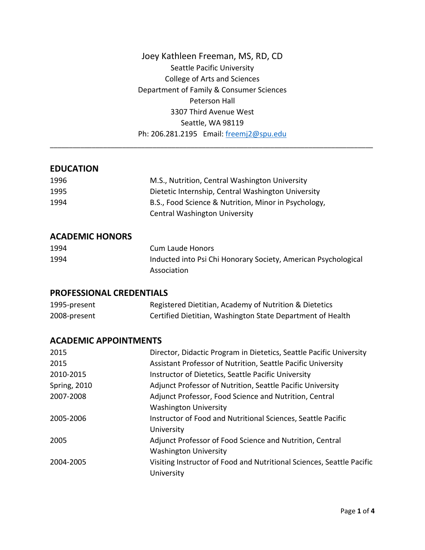Joey Kathleen Freeman, MS, RD, CD Seattle Pacific University College of Arts and Sciences Department of Family & Consumer Sciences Peterson Hall 3307 Third Avenue West Seattle, WA 98119 Ph: 206.281.2195 Email: [freemj2@spu.edu](mailto:freemj2@spu.edu)

\_\_\_\_\_\_\_\_\_\_\_\_\_\_\_\_\_\_\_\_\_\_\_\_\_\_\_\_\_\_\_\_\_\_\_\_\_\_\_\_\_\_\_\_\_\_\_\_\_\_\_\_\_\_\_\_\_\_\_\_\_\_\_\_\_\_\_\_\_\_\_\_\_\_\_\_\_\_\_\_\_\_\_\_\_

## **EDUCATION**

| 1996 | M.S., Nutrition, Central Washington University       |
|------|------------------------------------------------------|
| 1995 | Dietetic Internship, Central Washington University   |
| 1994 | B.S., Food Science & Nutrition, Minor in Psychology, |
|      | <b>Central Washington University</b>                 |

#### **ACADEMIC HONORS**

| 1994 | Cum Laude Honors                                               |
|------|----------------------------------------------------------------|
| 1994 | Inducted into Psi Chi Honorary Society, American Psychological |
|      | Association                                                    |

#### **PROFESSIONAL CREDENTIALS**

| 1995-present | Registered Dietitian, Academy of Nutrition & Dietetics     |
|--------------|------------------------------------------------------------|
| 2008-present | Certified Dietitian, Washington State Department of Health |

## **ACADEMIC APPOINTMENTS**

| 2015                | Director, Didactic Program in Dietetics, Seattle Pacific University   |
|---------------------|-----------------------------------------------------------------------|
| 2015                | Assistant Professor of Nutrition, Seattle Pacific University          |
| 2010-2015           | Instructor of Dietetics, Seattle Pacific University                   |
| <b>Spring, 2010</b> | Adjunct Professor of Nutrition, Seattle Pacific University            |
| 2007-2008           | Adjunct Professor, Food Science and Nutrition, Central                |
|                     | <b>Washington University</b>                                          |
| 2005-2006           | Instructor of Food and Nutritional Sciences, Seattle Pacific          |
|                     | University                                                            |
| 2005                | Adjunct Professor of Food Science and Nutrition, Central              |
|                     | <b>Washington University</b>                                          |
| 2004-2005           | Visiting Instructor of Food and Nutritional Sciences, Seattle Pacific |
|                     | University                                                            |
|                     |                                                                       |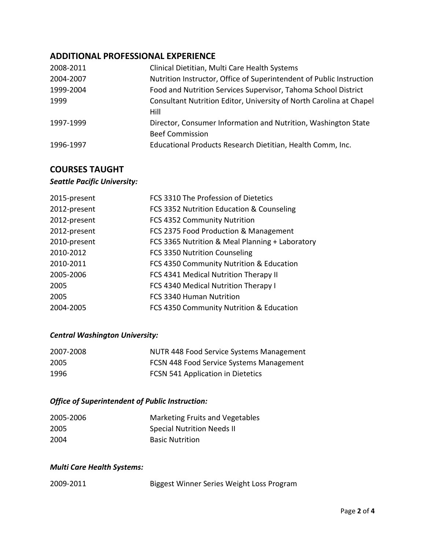## **ADDITIONAL PROFESSIONAL EXPERIENCE**

| 2008-2011 | Clinical Dietitian, Multi Care Health Systems                        |
|-----------|----------------------------------------------------------------------|
| 2004-2007 | Nutrition Instructor, Office of Superintendent of Public Instruction |
| 1999-2004 | Food and Nutrition Services Supervisor, Tahoma School District       |
| 1999      | Consultant Nutrition Editor, University of North Carolina at Chapel  |
|           | Hill                                                                 |
| 1997-1999 | Director, Consumer Information and Nutrition, Washington State       |
|           | <b>Beef Commission</b>                                               |
| 1996-1997 | Educational Products Research Dietitian, Health Comm, Inc.           |

# **COURSES TAUGHT**

# *Seattle Pacific University:*

| 2015-present | FCS 3310 The Profession of Dietetics            |
|--------------|-------------------------------------------------|
| 2012-present | FCS 3352 Nutrition Education & Counseling       |
| 2012-present | FCS 4352 Community Nutrition                    |
| 2012-present | FCS 2375 Food Production & Management           |
| 2010-present | FCS 3365 Nutrition & Meal Planning + Laboratory |
| 2010-2012    | FCS 3350 Nutrition Counseling                   |
| 2010-2011    | FCS 4350 Community Nutrition & Education        |
| 2005-2006    | FCS 4341 Medical Nutrition Therapy II           |
| 2005         | FCS 4340 Medical Nutrition Therapy I            |
| 2005         | <b>FCS 3340 Human Nutrition</b>                 |
| 2004-2005    | FCS 4350 Community Nutrition & Education        |

## *Central Washington University:*

| 2007-2008 | NUTR 448 Food Service Systems Management |
|-----------|------------------------------------------|
| 2005      | FCSN 448 Food Service Systems Management |
| 1996      | FCSN 541 Application in Dietetics        |

## *Office of Superintendent of Public Instruction:*

| 2005-2006 | Marketing Fruits and Vegetables   |
|-----------|-----------------------------------|
| 2005      | <b>Special Nutrition Needs II</b> |
| 2004      | <b>Basic Nutrition</b>            |

## *Multi Care Health Systems:*

| 2009-2011 | Biggest Winner Series Weight Loss Program |  |
|-----------|-------------------------------------------|--|
|           |                                           |  |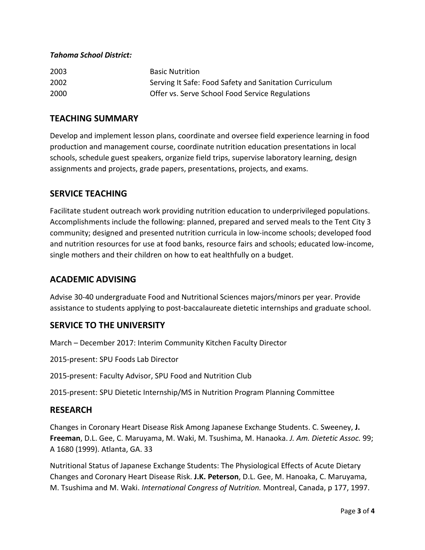#### *Tahoma School District:*

| 2003 | <b>Basic Nutrition</b>                                 |
|------|--------------------------------------------------------|
| 2002 | Serving It Safe: Food Safety and Sanitation Curriculum |
| 2000 | Offer vs. Serve School Food Service Regulations        |

## **TEACHING SUMMARY**

Develop and implement lesson plans, coordinate and oversee field experience learning in food production and management course, coordinate nutrition education presentations in local schools, schedule guest speakers, organize field trips, supervise laboratory learning, design assignments and projects, grade papers, presentations, projects, and exams.

## **SERVICE TEACHING**

Facilitate student outreach work providing nutrition education to underprivileged populations. Accomplishments include the following: planned, prepared and served meals to the Tent City 3 community; designed and presented nutrition curricula in low-income schools; developed food and nutrition resources for use at food banks, resource fairs and schools; educated low-income, single mothers and their children on how to eat healthfully on a budget.

## **ACADEMIC ADVISING**

Advise 30-40 undergraduate Food and Nutritional Sciences majors/minors per year. Provide assistance to students applying to post-baccalaureate dietetic internships and graduate school.

## **SERVICE TO THE UNIVERSITY**

March – December 2017: Interim Community Kitchen Faculty Director

2015-present: SPU Foods Lab Director

2015-present: Faculty Advisor, SPU Food and Nutrition Club

2015-present: SPU Dietetic Internship/MS in Nutrition Program Planning Committee

## **RESEARCH**

Changes in Coronary Heart Disease Risk Among Japanese Exchange Students. C. Sweeney, **J. Freeman**, D.L. Gee, C. Maruyama, M. Waki, M. Tsushima, M. Hanaoka. *J. Am. Dietetic Assoc.* 99; A 1680 (1999). Atlanta, GA. 33

Nutritional Status of Japanese Exchange Students: The Physiological Effects of Acute Dietary Changes and Coronary Heart Disease Risk. **J.K. Peterson**, D.L. Gee, M. Hanoaka, C. Maruyama, M. Tsushima and M. Waki. *International Congress of Nutrition.* Montreal, Canada, p 177, 1997.